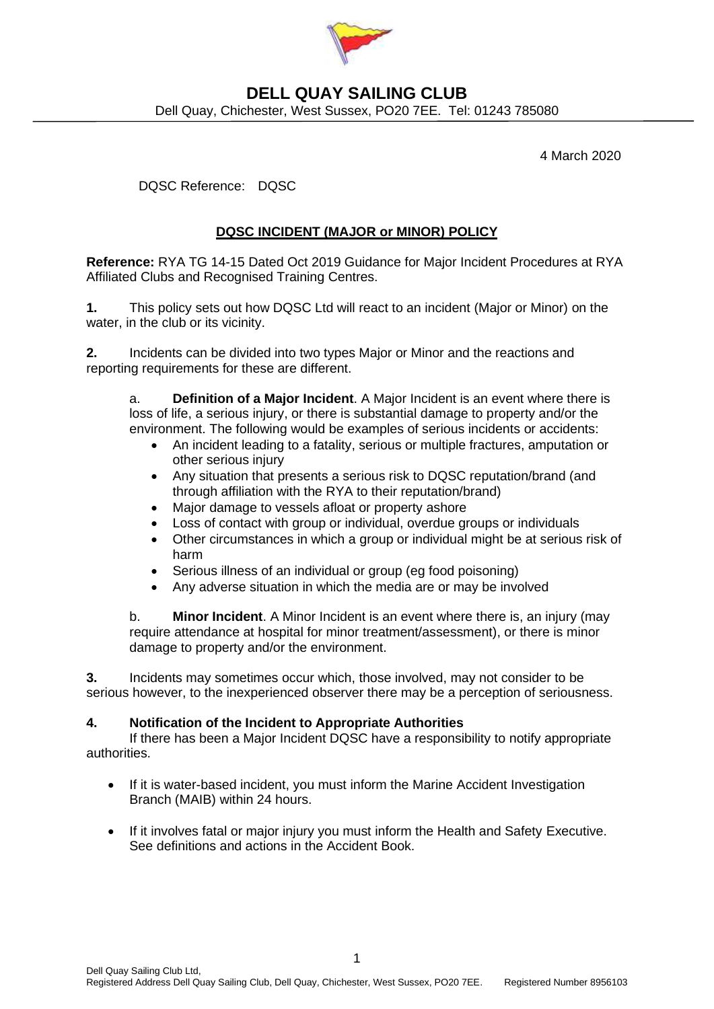

## **DELL QUAY SAILING CLUB** Dell Quay, Chichester, West Sussex, PO20 7EE. Tel: 01243 785080

4 March 2020

DQSC Reference: DQSC

## **DQSC INCIDENT (MAJOR or MINOR) POLICY**

**Reference:** RYA TG 14-15 Dated Oct 2019 Guidance for Major Incident Procedures at RYA Affiliated Clubs and Recognised Training Centres.

**1.** This policy sets out how DQSC Ltd will react to an incident (Major or Minor) on the water, in the club or its vicinity.

**2.** Incidents can be divided into two types Major or Minor and the reactions and reporting requirements for these are different.

a. **Definition of a Major Incident**. A Major Incident is an event where there is loss of life, a serious injury, or there is substantial damage to property and/or the environment. The following would be examples of serious incidents or accidents:

- An incident leading to a fatality, serious or multiple fractures, amputation or other serious injury
- Any situation that presents a serious risk to DQSC reputation/brand (and through affiliation with the RYA to their reputation/brand)
- Major damage to vessels afloat or property ashore
- Loss of contact with group or individual, overdue groups or individuals
- Other circumstances in which a group or individual might be at serious risk of harm
- Serious illness of an individual or group (eg food poisoning)
- Any adverse situation in which the media are or may be involved

b. **Minor Incident**. A Minor Incident is an event where there is, an injury (may require attendance at hospital for minor treatment/assessment), or there is minor damage to property and/or the environment.

**3.** Incidents may sometimes occur which, those involved, may not consider to be serious however, to the inexperienced observer there may be a perception of seriousness.

### **4. Notification of the Incident to Appropriate Authorities**

If there has been a Major Incident DQSC have a responsibility to notify appropriate authorities.

- If it is water-based incident, you must inform the Marine Accident Investigation Branch (MAIB) within 24 hours.
- If it involves fatal or major injury you must inform the Health and Safety Executive. See definitions and actions in the Accident Book.

1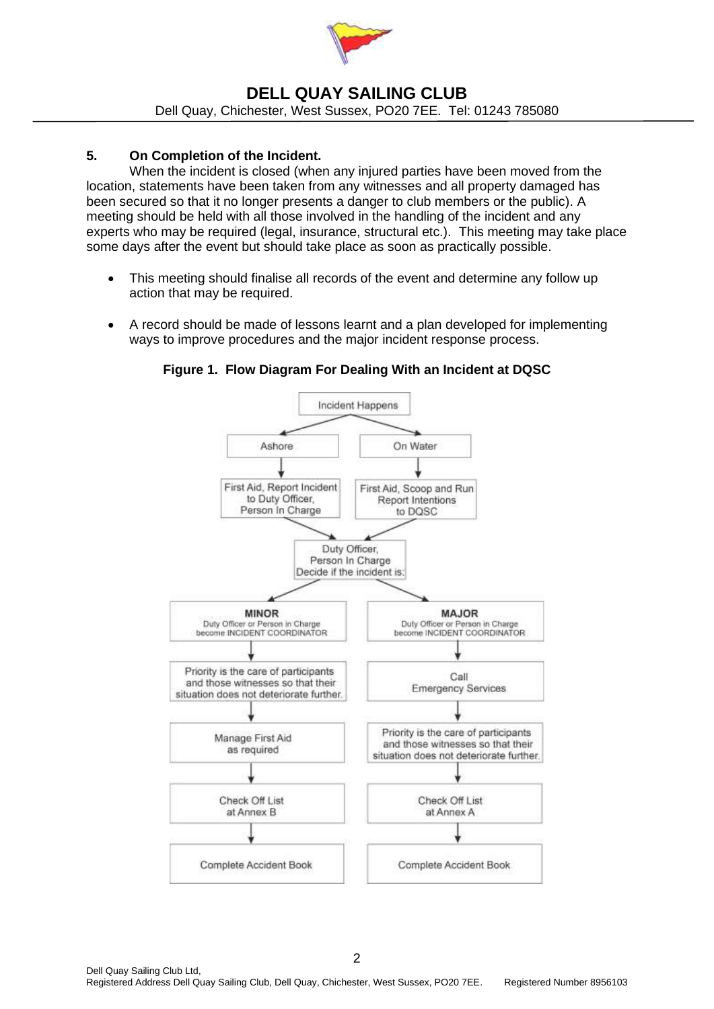

## **DELL QUAY SAILING CLUB** Dell Quay, Chichester, West Sussex, PO20 7EE. Tel: 01243 785080

### **5. On Completion of the Incident.**

When the incident is closed (when any injured parties have been moved from the location, statements have been taken from any witnesses and all property damaged has been secured so that it no longer presents a danger to club members or the public). A meeting should be held with all those involved in the handling of the incident and any experts who may be required (legal, insurance, structural etc.). This meeting may take place some days after the event but should take place as soon as practically possible.

- This meeting should finalise all records of the event and determine any follow up action that may be required.
- A record should be made of lessons learnt and a plan developed for implementing ways to improve procedures and the major incident response process.



**Figure 1. Flow Diagram For Dealing With an Incident at DQSC**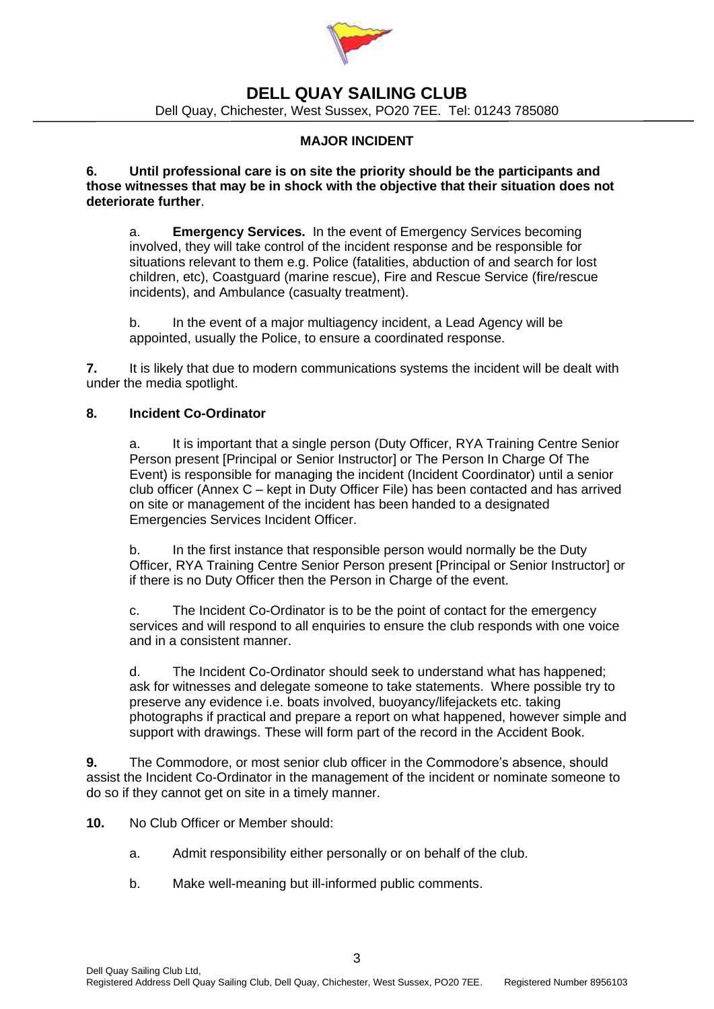

Dell Quay, Chichester, West Sussex, PO20 7EE. Tel: 01243 785080

### **MAJOR INCIDENT**

**6. Until professional care is on site the priority should be the participants and those witnesses that may be in shock with the objective that their situation does not deteriorate further**.

a. **Emergency Services.** In the event of Emergency Services becoming involved, they will take control of the incident response and be responsible for situations relevant to them e.g. Police (fatalities, abduction of and search for lost children, etc), Coastguard (marine rescue), Fire and Rescue Service (fire/rescue incidents), and Ambulance (casualty treatment).

b. In the event of a major multiagency incident, a Lead Agency will be appointed, usually the Police, to ensure a coordinated response.

**7.** It is likely that due to modern communications systems the incident will be dealt with under the media spotlight.

#### **8. Incident Co-Ordinator**

a. It is important that a single person (Duty Officer, RYA Training Centre Senior Person present [Principal or Senior Instructor] or The Person In Charge Of The Event) is responsible for managing the incident (Incident Coordinator) until a senior club officer (Annex C – kept in Duty Officer File) has been contacted and has arrived on site or management of the incident has been handed to a designated Emergencies Services Incident Officer.

b. In the first instance that responsible person would normally be the Duty Officer, RYA Training Centre Senior Person present [Principal or Senior Instructor] or if there is no Duty Officer then the Person in Charge of the event.

c. The Incident Co-Ordinator is to be the point of contact for the emergency services and will respond to all enquiries to ensure the club responds with one voice and in a consistent manner.

d. The Incident Co-Ordinator should seek to understand what has happened; ask for witnesses and delegate someone to take statements. Where possible try to preserve any evidence i.e. boats involved, buoyancy/lifejackets etc. taking photographs if practical and prepare a report on what happened, however simple and support with drawings. These will form part of the record in the Accident Book.

**9.** The Commodore, or most senior club officer in the Commodore's absence, should assist the Incident Co-Ordinator in the management of the incident or nominate someone to do so if they cannot get on site in a timely manner.

**10.** No Club Officer or Member should:

- a. Admit responsibility either personally or on behalf of the club.
- b. Make well-meaning but ill-informed public comments.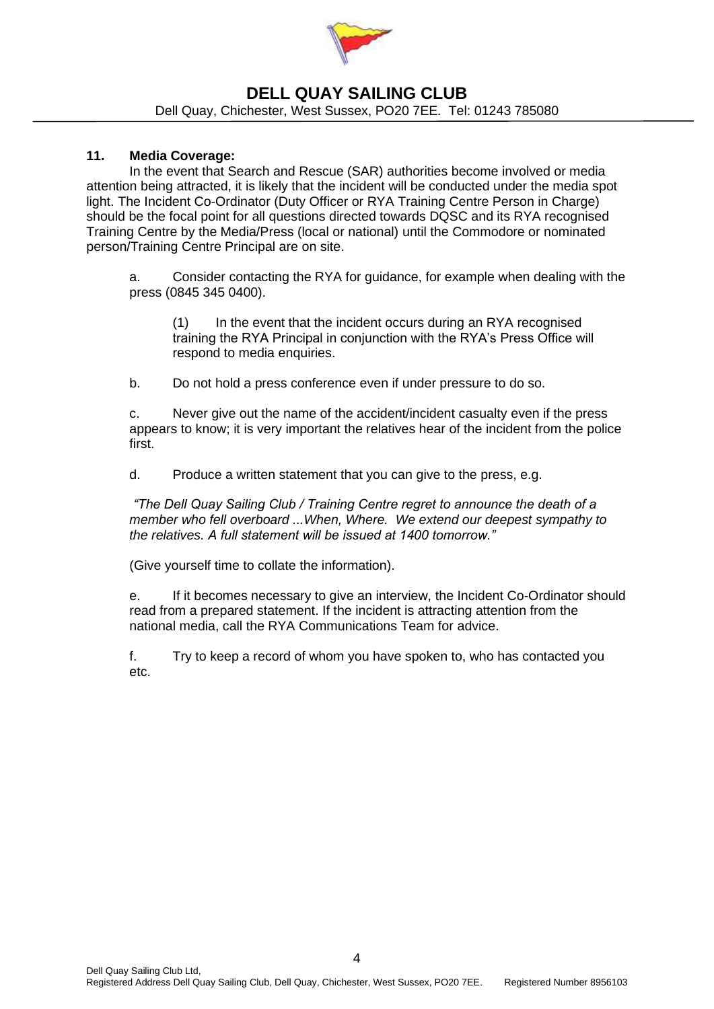

Dell Quay, Chichester, West Sussex, PO20 7EE. Tel: 01243 785080

### **11. Media Coverage:**

In the event that Search and Rescue (SAR) authorities become involved or media attention being attracted, it is likely that the incident will be conducted under the media spot light. The Incident Co-Ordinator (Duty Officer or RYA Training Centre Person in Charge) should be the focal point for all questions directed towards DQSC and its RYA recognised Training Centre by the Media/Press (local or national) until the Commodore or nominated person/Training Centre Principal are on site.

a. Consider contacting the RYA for guidance, for example when dealing with the press (0845 345 0400).

(1) In the event that the incident occurs during an RYA recognised training the RYA Principal in conjunction with the RYA's Press Office will respond to media enquiries.

b. Do not hold a press conference even if under pressure to do so.

c. Never give out the name of the accident/incident casualty even if the press appears to know; it is very important the relatives hear of the incident from the police first.

d. Produce a written statement that you can give to the press, e.g.

*"The Dell Quay Sailing Club / Training Centre regret to announce the death of a member who fell overboard ...When, Where. We extend our deepest sympathy to the relatives. A full statement will be issued at 1400 tomorrow."*

(Give yourself time to collate the information).

e. If it becomes necessary to give an interview, the Incident Co-Ordinator should read from a prepared statement. If the incident is attracting attention from the national media, call the RYA Communications Team for advice.

f. Try to keep a record of whom you have spoken to, who has contacted you etc.

4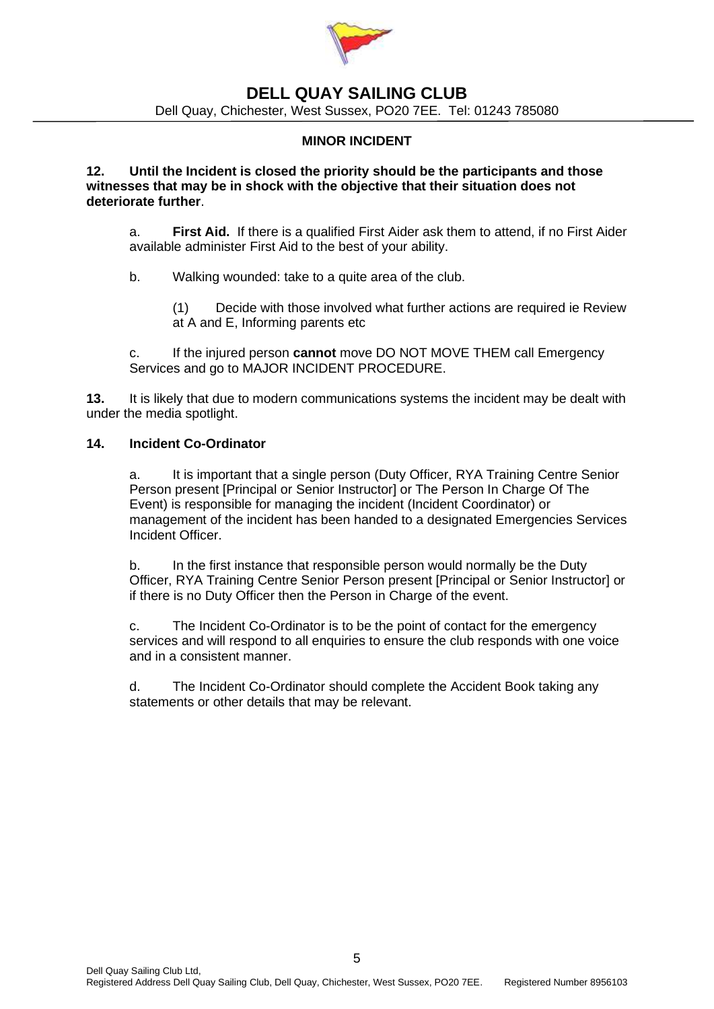

Dell Quay, Chichester, West Sussex, PO20 7EE. Tel: 01243 785080

### **MINOR INCIDENT**

#### **12. Until the Incident is closed the priority should be the participants and those witnesses that may be in shock with the objective that their situation does not deteriorate further**.

a. **First Aid.** If there is a qualified First Aider ask them to attend, if no First Aider available administer First Aid to the best of your ability.

b. Walking wounded: take to a quite area of the club.

(1) Decide with those involved what further actions are required ie Review at A and E, Informing parents etc

c. If the injured person **cannot** move DO NOT MOVE THEM call Emergency Services and go to MAJOR INCIDENT PROCEDURE.

**13.** It is likely that due to modern communications systems the incident may be dealt with under the media spotlight.

### **14. Incident Co-Ordinator**

a. It is important that a single person (Duty Officer, RYA Training Centre Senior Person present [Principal or Senior Instructor] or The Person In Charge Of The Event) is responsible for managing the incident (Incident Coordinator) or management of the incident has been handed to a designated Emergencies Services Incident Officer.

b. In the first instance that responsible person would normally be the Duty Officer, RYA Training Centre Senior Person present [Principal or Senior Instructor] or if there is no Duty Officer then the Person in Charge of the event.

c. The Incident Co-Ordinator is to be the point of contact for the emergency services and will respond to all enquiries to ensure the club responds with one voice and in a consistent manner.

d. The Incident Co-Ordinator should complete the Accident Book taking any statements or other details that may be relevant.

5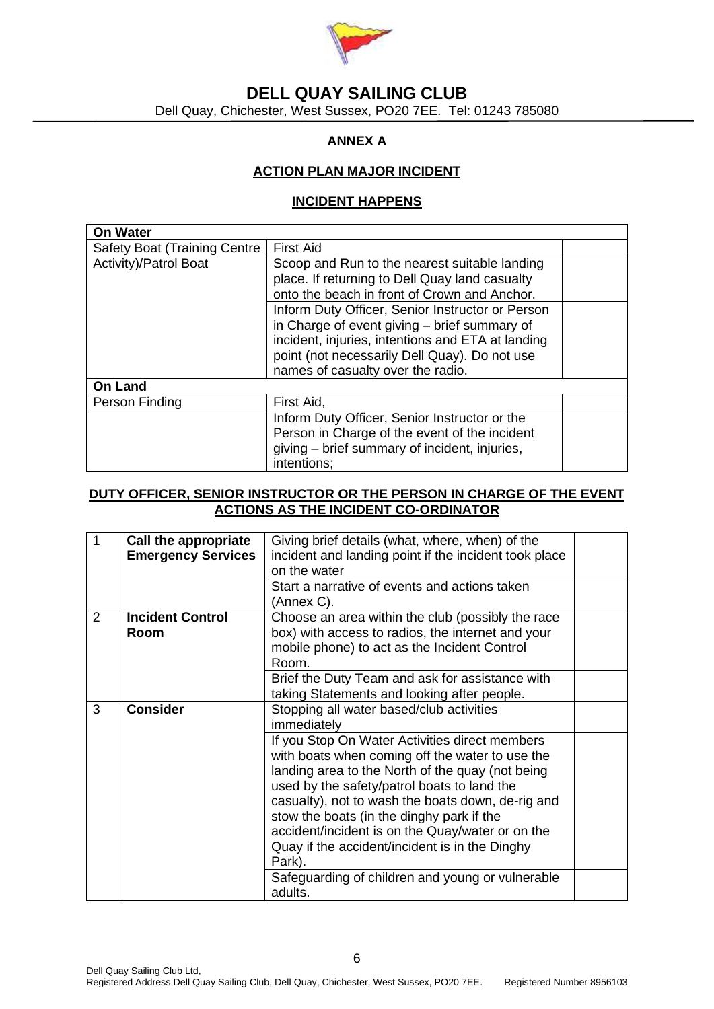

Dell Quay, Chichester, West Sussex, PO20 7EE. Tel: 01243 785080

## **ANNEX A**

### **ACTION PLAN MAJOR INCIDENT**

#### **INCIDENT HAPPENS**

| On Water                             |                                                   |  |  |
|--------------------------------------|---------------------------------------------------|--|--|
| <b>Safety Boat (Training Centre)</b> | <b>First Aid</b>                                  |  |  |
| Activity)/Patrol Boat                | Scoop and Run to the nearest suitable landing     |  |  |
|                                      | place. If returning to Dell Quay land casualty    |  |  |
|                                      | onto the beach in front of Crown and Anchor.      |  |  |
|                                      | Inform Duty Officer, Senior Instructor or Person  |  |  |
|                                      | in Charge of event giving - brief summary of      |  |  |
|                                      | incident, injuries, intentions and ETA at landing |  |  |
|                                      | point (not necessarily Dell Quay). Do not use     |  |  |
|                                      | names of casualty over the radio.                 |  |  |
| <b>On Land</b>                       |                                                   |  |  |
| Person Finding                       | First Aid,                                        |  |  |
|                                      | Inform Duty Officer, Senior Instructor or the     |  |  |
|                                      | Person in Charge of the event of the incident     |  |  |
|                                      | giving – brief summary of incident, injuries,     |  |  |
|                                      | intentions:                                       |  |  |

### **DUTY OFFICER, SENIOR INSTRUCTOR OR THE PERSON IN CHARGE OF THE EVENT ACTIONS AS THE INCIDENT CO-ORDINATOR**

| Call the appropriate      |                                                   |                                                                                                                                                       |
|---------------------------|---------------------------------------------------|-------------------------------------------------------------------------------------------------------------------------------------------------------|
| <b>Emergency Services</b> |                                                   |                                                                                                                                                       |
|                           | on the water                                      |                                                                                                                                                       |
|                           | Start a narrative of events and actions taken     |                                                                                                                                                       |
|                           | (Annex C).                                        |                                                                                                                                                       |
| <b>Incident Control</b>   | Choose an area within the club (possibly the race |                                                                                                                                                       |
| Room                      | box) with access to radios, the internet and your |                                                                                                                                                       |
|                           | mobile phone) to act as the Incident Control      |                                                                                                                                                       |
|                           | Room.                                             |                                                                                                                                                       |
|                           | Brief the Duty Team and ask for assistance with   |                                                                                                                                                       |
|                           | taking Statements and looking after people.       |                                                                                                                                                       |
| <b>Consider</b>           | Stopping all water based/club activities          |                                                                                                                                                       |
|                           | immediately                                       |                                                                                                                                                       |
|                           | If you Stop On Water Activities direct members    |                                                                                                                                                       |
|                           | with boats when coming off the water to use the   |                                                                                                                                                       |
|                           | landing area to the North of the quay (not being  |                                                                                                                                                       |
|                           | used by the safety/patrol boats to land the       |                                                                                                                                                       |
|                           | casualty), not to wash the boats down, de-rig and |                                                                                                                                                       |
|                           |                                                   |                                                                                                                                                       |
|                           | accident/incident is on the Quay/water or on the  |                                                                                                                                                       |
|                           | Quay if the accident/incident is in the Dinghy    |                                                                                                                                                       |
|                           | Park).                                            |                                                                                                                                                       |
|                           | Safeguarding of children and young or vulnerable  |                                                                                                                                                       |
|                           | adults.                                           |                                                                                                                                                       |
|                           |                                                   | Giving brief details (what, where, when) of the<br>incident and landing point if the incident took place<br>stow the boats (in the dinghy park if the |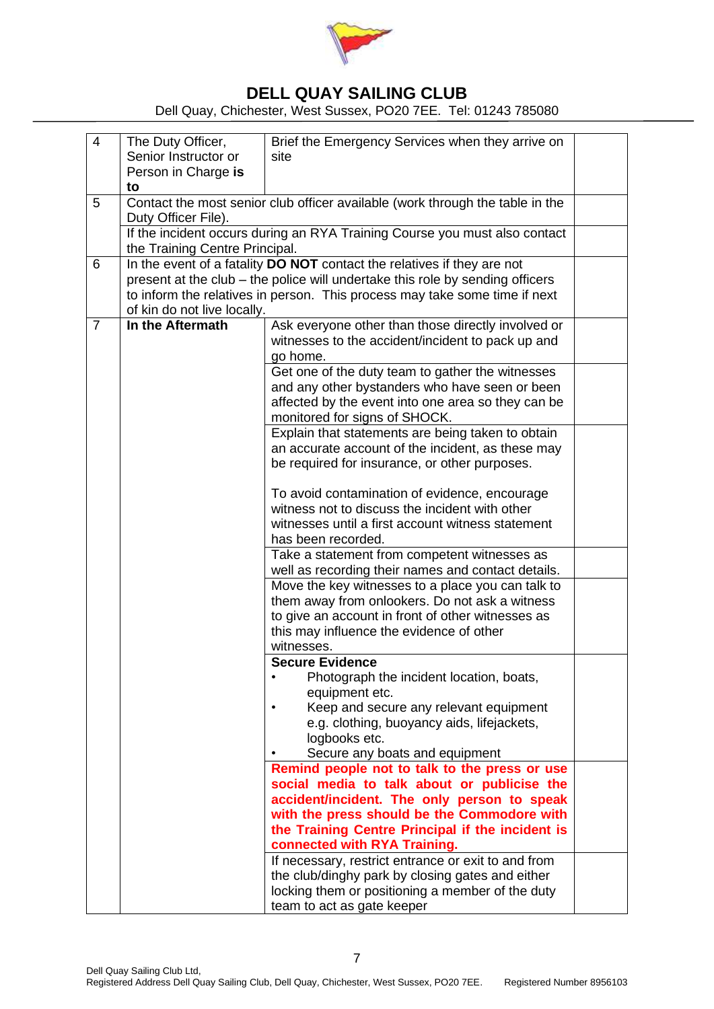

Dell Quay, Chichester, West Sussex, PO20 7EE. Tel: 01243 785080

| $\overline{4}$ | The Duty Officer,              | Brief the Emergency Services when they arrive on                                                                                                            |  |  |
|----------------|--------------------------------|-------------------------------------------------------------------------------------------------------------------------------------------------------------|--|--|
|                | Senior Instructor or           | site                                                                                                                                                        |  |  |
|                | Person in Charge is            |                                                                                                                                                             |  |  |
| 5              | to                             | Contact the most senior club officer available (work through the table in the                                                                               |  |  |
|                | Duty Officer File).            |                                                                                                                                                             |  |  |
|                |                                | If the incident occurs during an RYA Training Course you must also contact                                                                                  |  |  |
|                | the Training Centre Principal. |                                                                                                                                                             |  |  |
| 6              |                                | In the event of a fatality DO NOT contact the relatives if they are not                                                                                     |  |  |
|                |                                | present at the club – the police will undertake this role by sending officers<br>to inform the relatives in person. This process may take some time if next |  |  |
|                | of kin do not live locally.    |                                                                                                                                                             |  |  |
| $\overline{7}$ | In the Aftermath               | Ask everyone other than those directly involved or                                                                                                          |  |  |
|                |                                | witnesses to the accident/incident to pack up and                                                                                                           |  |  |
|                |                                | go home.                                                                                                                                                    |  |  |
|                |                                | Get one of the duty team to gather the witnesses                                                                                                            |  |  |
|                |                                | and any other bystanders who have seen or been                                                                                                              |  |  |
|                |                                | affected by the event into one area so they can be                                                                                                          |  |  |
|                |                                | monitored for signs of SHOCK.                                                                                                                               |  |  |
|                |                                | Explain that statements are being taken to obtain                                                                                                           |  |  |
|                |                                | an accurate account of the incident, as these may                                                                                                           |  |  |
|                |                                | be required for insurance, or other purposes.                                                                                                               |  |  |
|                |                                | To avoid contamination of evidence, encourage                                                                                                               |  |  |
|                |                                | witness not to discuss the incident with other                                                                                                              |  |  |
|                |                                | witnesses until a first account witness statement                                                                                                           |  |  |
|                |                                | has been recorded.                                                                                                                                          |  |  |
|                |                                | Take a statement from competent witnesses as                                                                                                                |  |  |
|                |                                | well as recording their names and contact details.                                                                                                          |  |  |
|                |                                | Move the key witnesses to a place you can talk to                                                                                                           |  |  |
|                |                                | them away from onlookers. Do not ask a witness                                                                                                              |  |  |
|                |                                | to give an account in front of other witnesses as                                                                                                           |  |  |
|                |                                | this may influence the evidence of other                                                                                                                    |  |  |
|                |                                | witnesses.<br><b>Secure Evidence</b>                                                                                                                        |  |  |
|                |                                | Photograph the incident location, boats,                                                                                                                    |  |  |
|                |                                | equipment etc.                                                                                                                                              |  |  |
|                |                                | Keep and secure any relevant equipment                                                                                                                      |  |  |
|                |                                | e.g. clothing, buoyancy aids, lifejackets,                                                                                                                  |  |  |
|                |                                | logbooks etc.                                                                                                                                               |  |  |
|                |                                | Secure any boats and equipment                                                                                                                              |  |  |
|                |                                | Remind people not to talk to the press or use                                                                                                               |  |  |
|                |                                | social media to talk about or publicise the                                                                                                                 |  |  |
|                |                                | accident/incident. The only person to speak                                                                                                                 |  |  |
|                |                                | with the press should be the Commodore with                                                                                                                 |  |  |
|                |                                | the Training Centre Principal if the incident is                                                                                                            |  |  |
|                |                                | connected with RYA Training.<br>If necessary, restrict entrance or exit to and from                                                                         |  |  |
|                |                                | the club/dinghy park by closing gates and either                                                                                                            |  |  |
|                |                                | locking them or positioning a member of the duty                                                                                                            |  |  |
|                |                                | team to act as gate keeper                                                                                                                                  |  |  |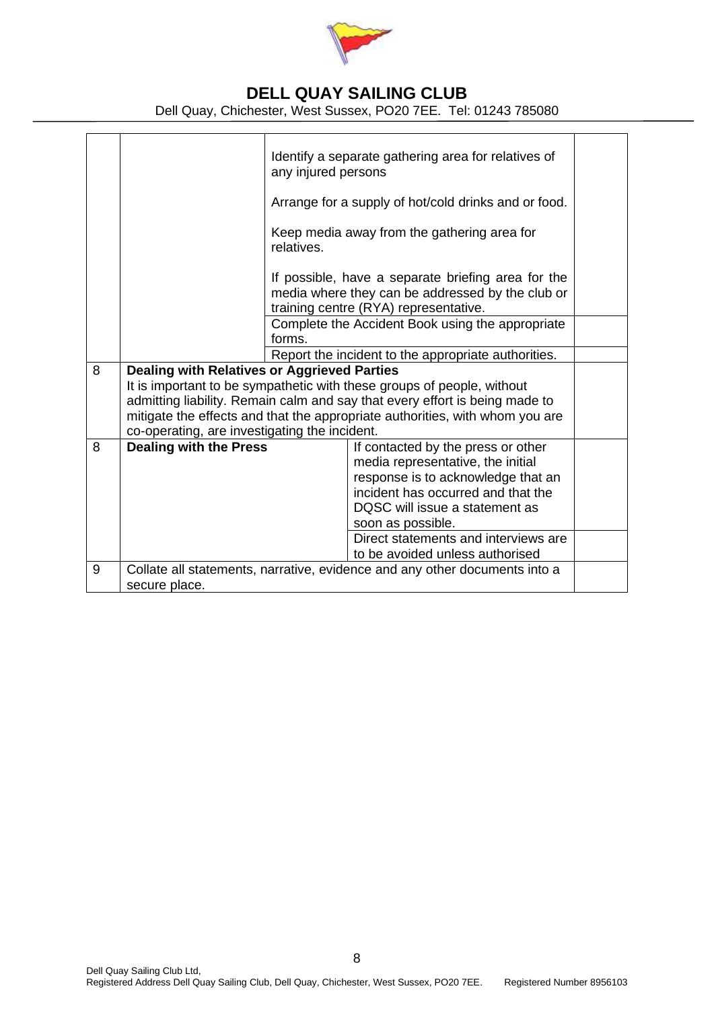

Dell Quay, Chichester, West Sussex, PO20 7EE. Tel: 01243 785080

|   |                                                                                                                                                                                                                                                                                                                                              | Identify a separate gathering area for relatives of<br>any injured persons<br>Arrange for a supply of hot/cold drinks and or food.<br>Keep media away from the gathering area for<br>relatives. |                                                                                                                                                                                                                                                                                       |  |
|---|----------------------------------------------------------------------------------------------------------------------------------------------------------------------------------------------------------------------------------------------------------------------------------------------------------------------------------------------|-------------------------------------------------------------------------------------------------------------------------------------------------------------------------------------------------|---------------------------------------------------------------------------------------------------------------------------------------------------------------------------------------------------------------------------------------------------------------------------------------|--|
|   |                                                                                                                                                                                                                                                                                                                                              | If possible, have a separate briefing area for the<br>media where they can be addressed by the club or<br>training centre (RYA) representative.                                                 |                                                                                                                                                                                                                                                                                       |  |
|   |                                                                                                                                                                                                                                                                                                                                              | Complete the Accident Book using the appropriate<br>forms.                                                                                                                                      |                                                                                                                                                                                                                                                                                       |  |
|   |                                                                                                                                                                                                                                                                                                                                              | Report the incident to the appropriate authorities.                                                                                                                                             |                                                                                                                                                                                                                                                                                       |  |
| 8 | <b>Dealing with Relatives or Aggrieved Parties</b><br>It is important to be sympathetic with these groups of people, without<br>admitting liability. Remain calm and say that every effort is being made to<br>mitigate the effects and that the appropriate authorities, with whom you are<br>co-operating, are investigating the incident. |                                                                                                                                                                                                 |                                                                                                                                                                                                                                                                                       |  |
| 8 | <b>Dealing with the Press</b>                                                                                                                                                                                                                                                                                                                |                                                                                                                                                                                                 | If contacted by the press or other<br>media representative, the initial<br>response is to acknowledge that an<br>incident has occurred and that the<br>DQSC will issue a statement as<br>soon as possible.<br>Direct statements and interviews are<br>to be avoided unless authorised |  |
| 9 | Collate all statements, narrative, evidence and any other documents into a<br>secure place.                                                                                                                                                                                                                                                  |                                                                                                                                                                                                 |                                                                                                                                                                                                                                                                                       |  |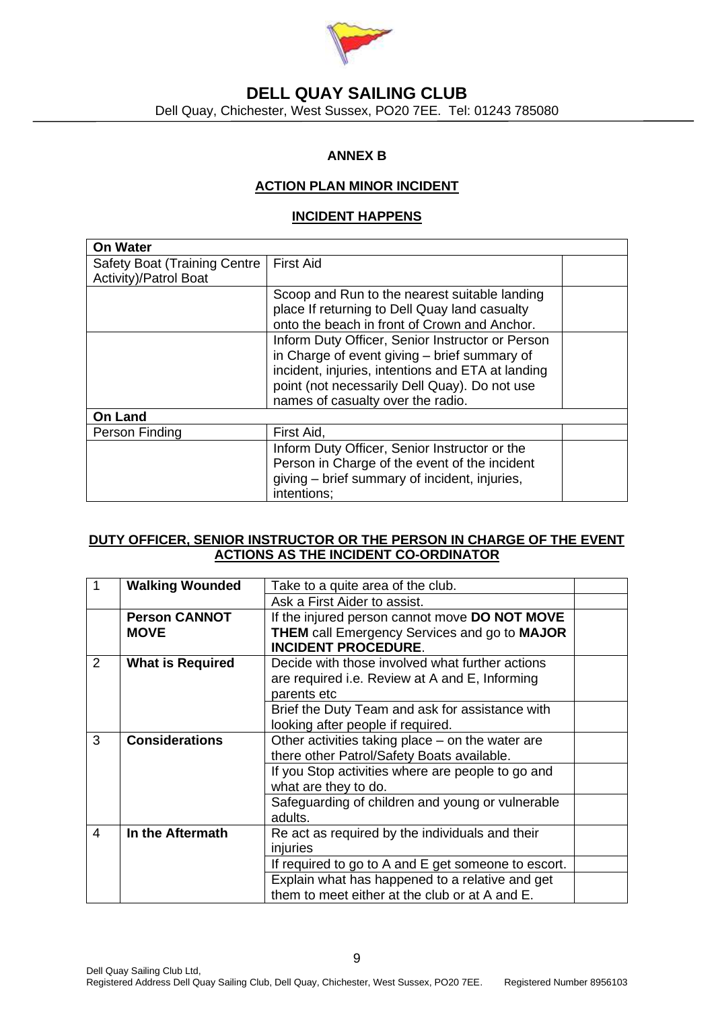

## **DELL QUAY SAILING CLUB** Dell Quay, Chichester, West Sussex, PO20 7EE. Tel: 01243 785080

### **ANNEX B**

### **ACTION PLAN MINOR INCIDENT**

### **INCIDENT HAPPENS**

| <b>On Water</b>                     |                                                   |  |
|-------------------------------------|---------------------------------------------------|--|
| <b>Safety Boat (Training Centre</b> | <b>First Aid</b>                                  |  |
| Activity)/Patrol Boat               |                                                   |  |
|                                     | Scoop and Run to the nearest suitable landing     |  |
|                                     | place If returning to Dell Quay land casualty     |  |
|                                     | onto the beach in front of Crown and Anchor.      |  |
|                                     | Inform Duty Officer, Senior Instructor or Person  |  |
|                                     | in Charge of event giving - brief summary of      |  |
|                                     | incident, injuries, intentions and ETA at landing |  |
|                                     | point (not necessarily Dell Quay). Do not use     |  |
|                                     | names of casualty over the radio.                 |  |
| <b>On Land</b>                      |                                                   |  |
| Person Finding                      | First Aid,                                        |  |
|                                     | Inform Duty Officer, Senior Instructor or the     |  |
|                                     | Person in Charge of the event of the incident     |  |
|                                     | giving – brief summary of incident, injuries,     |  |
|                                     | intentions;                                       |  |

### **DUTY OFFICER, SENIOR INSTRUCTOR OR THE PERSON IN CHARGE OF THE EVENT ACTIONS AS THE INCIDENT CO-ORDINATOR**

| $\vert$ 1 | <b>Walking Wounded</b>              | Take to a quite area of the club.                                                                                                  |  |
|-----------|-------------------------------------|------------------------------------------------------------------------------------------------------------------------------------|--|
|           |                                     | Ask a First Aider to assist.                                                                                                       |  |
|           | <b>Person CANNOT</b><br><b>MOVE</b> | If the injured person cannot move DO NOT MOVE<br><b>THEM</b> call Emergency Services and go to MAJOR<br><b>INCIDENT PROCEDURE.</b> |  |
| 2         | <b>What is Required</b>             | Decide with those involved what further actions<br>are required i.e. Review at A and E, Informing<br>parents etc                   |  |
|           |                                     | Brief the Duty Team and ask for assistance with<br>looking after people if required.                                               |  |
| 3         | <b>Considerations</b>               | Other activities taking place - on the water are<br>there other Patrol/Safety Boats available.                                     |  |
|           |                                     | If you Stop activities where are people to go and<br>what are they to do.                                                          |  |
|           |                                     | Safeguarding of children and young or vulnerable<br>adults.                                                                        |  |
| 4         | In the Aftermath                    | Re act as required by the individuals and their<br>injuries                                                                        |  |
|           |                                     | If required to go to A and E get someone to escort.                                                                                |  |
|           |                                     | Explain what has happened to a relative and get<br>them to meet either at the club or at A and E.                                  |  |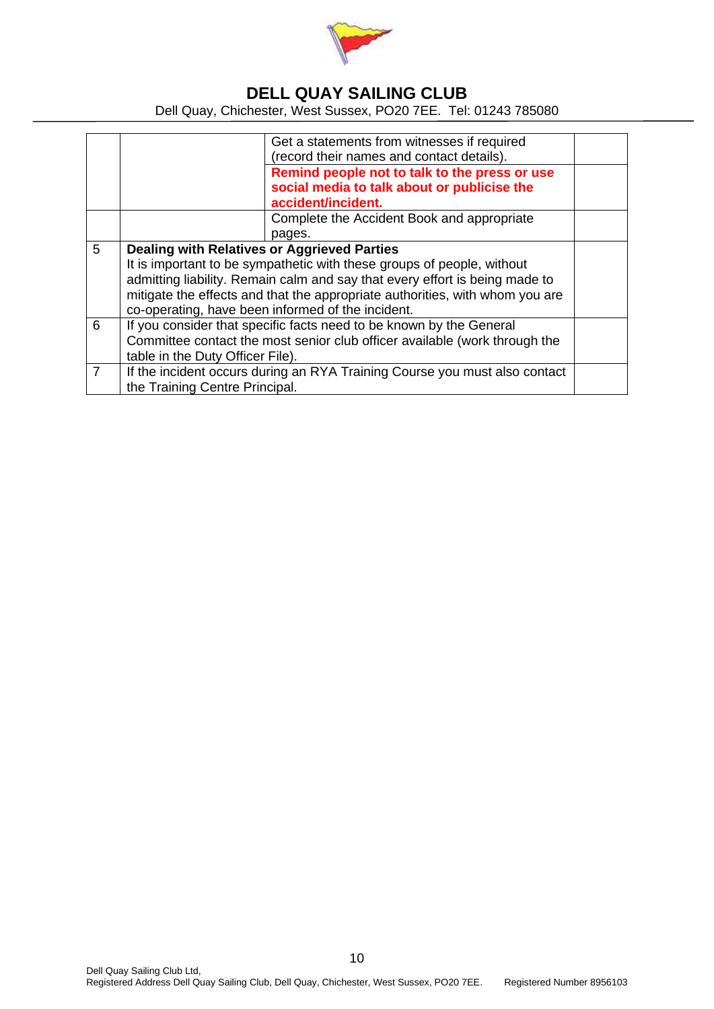

Dell Quay, Chichester, West Sussex, PO20 7EE. Tel: 01243 785080

|   | Get a statements from witnesses if required                                  |                                               |  |  |
|---|------------------------------------------------------------------------------|-----------------------------------------------|--|--|
|   |                                                                              | (record their names and contact details).     |  |  |
|   |                                                                              | Remind people not to talk to the press or use |  |  |
|   |                                                                              | social media to talk about or publicise the   |  |  |
|   |                                                                              | accident/incident.                            |  |  |
|   |                                                                              | Complete the Accident Book and appropriate    |  |  |
|   |                                                                              | pages.                                        |  |  |
| 5 | <b>Dealing with Relatives or Aggrieved Parties</b>                           |                                               |  |  |
|   | It is important to be sympathetic with these groups of people, without       |                                               |  |  |
|   | admitting liability. Remain calm and say that every effort is being made to  |                                               |  |  |
|   | mitigate the effects and that the appropriate authorities, with whom you are |                                               |  |  |
|   | co-operating, have been informed of the incident.                            |                                               |  |  |
| 6 | If you consider that specific facts need to be known by the General          |                                               |  |  |
|   | Committee contact the most senior club officer available (work through the   |                                               |  |  |
|   | table in the Duty Officer File).                                             |                                               |  |  |
| 7 | If the incident occurs during an RYA Training Course you must also contact   |                                               |  |  |
|   | the Training Centre Principal.                                               |                                               |  |  |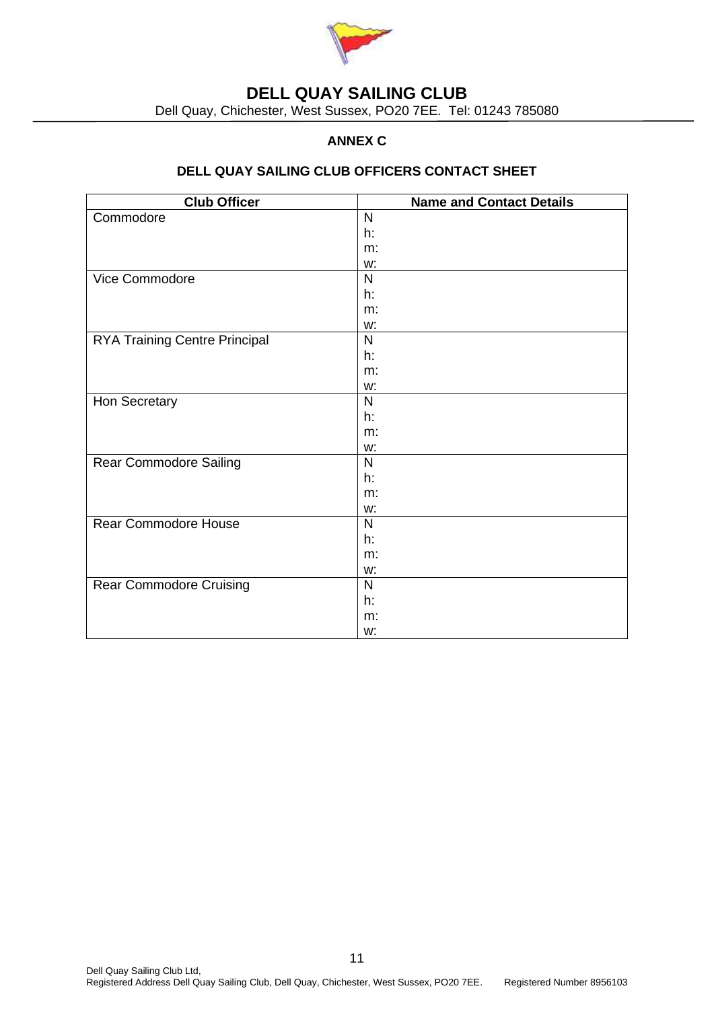

Dell Quay, Chichester, West Sussex, PO20 7EE. Tel: 01243 785080

## **ANNEX C**

### **DELL QUAY SAILING CLUB OFFICERS CONTACT SHEET**

| <b>Club Officer</b>                  | <b>Name and Contact Details</b> |
|--------------------------------------|---------------------------------|
| Commodore                            | $\mathsf{N}$                    |
|                                      | h:                              |
|                                      | m:                              |
|                                      | w:                              |
| Vice Commodore                       | $\mathsf{N}$                    |
|                                      | h:                              |
|                                      | m:                              |
|                                      | w:                              |
| <b>RYA Training Centre Principal</b> | $\mathsf{N}$                    |
|                                      | h:                              |
|                                      | m:                              |
|                                      | w:                              |
| Hon Secretary                        | N                               |
|                                      | h:                              |
|                                      | m:                              |
|                                      | w:                              |
| Rear Commodore Sailing               | N                               |
|                                      | h:                              |
|                                      | m:                              |
|                                      | w:                              |
| <b>Rear Commodore House</b>          | $\mathsf{N}$                    |
|                                      | h:                              |
|                                      | m:                              |
|                                      | w:                              |
| <b>Rear Commodore Cruising</b>       | $\mathsf{N}$                    |
|                                      | h:                              |
|                                      | m:                              |
|                                      | w:                              |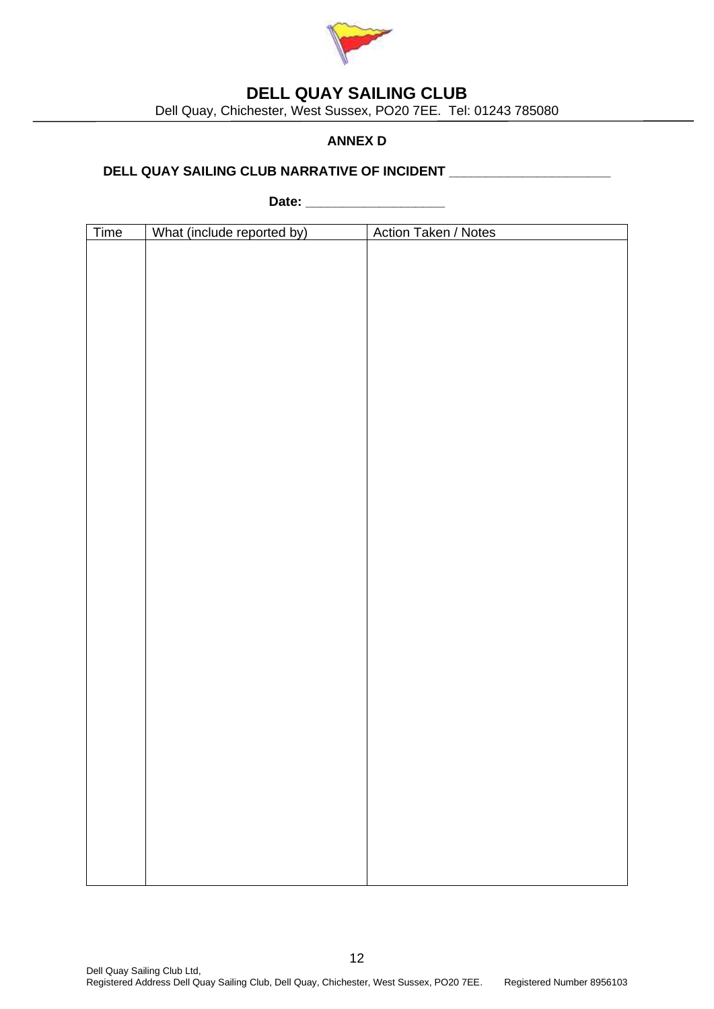

Dell Quay, Chichester, West Sussex, PO20 7EE. Tel: 01243 785080

## **ANNEX D**

### **DELL QUAY SAILING CLUB NARRATIVE OF INCIDENT \_\_\_\_\_\_\_\_\_\_\_\_\_\_\_\_\_\_\_\_\_\_**

**Date: \_\_\_\_\_\_\_\_\_\_\_\_\_\_\_\_\_\_\_**

| Time | What (include reported by) | Action Taken / Notes |
|------|----------------------------|----------------------|
|      |                            |                      |
|      |                            |                      |
|      |                            |                      |
|      |                            |                      |
|      |                            |                      |
|      |                            |                      |
|      |                            |                      |
|      |                            |                      |
|      |                            |                      |
|      |                            |                      |
|      |                            |                      |
|      |                            |                      |
|      |                            |                      |
|      |                            |                      |
|      |                            |                      |
|      |                            |                      |
|      |                            |                      |
|      |                            |                      |
|      |                            |                      |
|      |                            |                      |
|      |                            |                      |
|      |                            |                      |
|      |                            |                      |
|      |                            |                      |
|      |                            |                      |
|      |                            |                      |
|      |                            |                      |
|      |                            |                      |
|      |                            |                      |
|      |                            |                      |
|      |                            |                      |